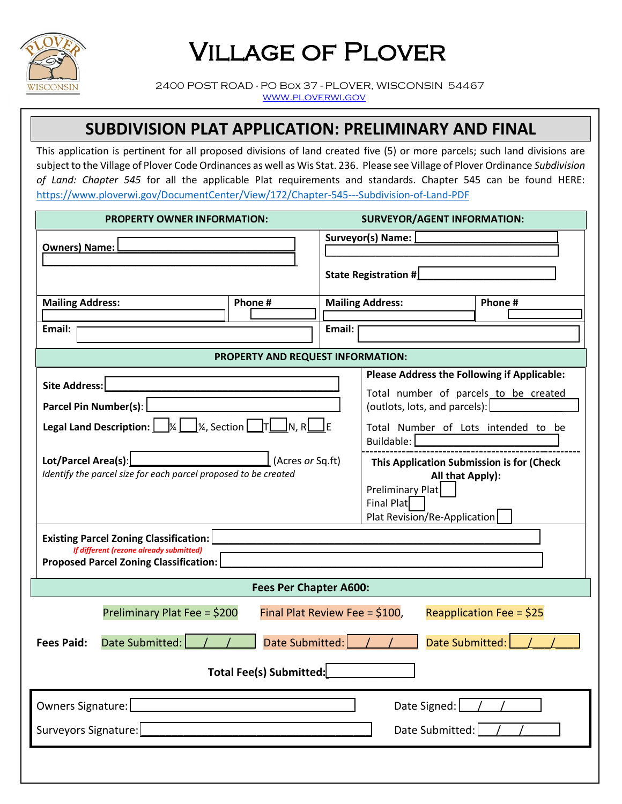

## Village of Plover

 2400 POST ROAD - PO Box 37 - PLOVER, WISCONSIN 54467 [www.ploverwi.gov](http://www.ploverwi.gov/)

### **SUBDIVISION PLAT APPLICATION: PRELIMINARY AND FINAL**

This application is pertinent for all proposed divisions of land created five (5) or more parcels; such land divisions are subject to the Village of Plover Code Ordinances as well as Wis Stat. 236. Please see Village of Plover Ordinance *Subdivision of Land: Chapter 545* for all the applicable Plat requirements and standards. Chapter 545 can be found HERE: <https://www.ploverwi.gov/DocumentCenter/View/172/Chapter-545---Subdivision-of-Land-PDF>

| <b>PROPERTY OWNER INFORMATION:</b>                                                                                                                                                                                                                                                                                                                                                           |         |                         | <b>SURVEYOR/AGENT INFORMATION:</b>                                                                                              |         |  |  |
|----------------------------------------------------------------------------------------------------------------------------------------------------------------------------------------------------------------------------------------------------------------------------------------------------------------------------------------------------------------------------------------------|---------|-------------------------|---------------------------------------------------------------------------------------------------------------------------------|---------|--|--|
| <b>Owners) Name:</b>                                                                                                                                                                                                                                                                                                                                                                         |         | Surveyor(s) Name: [     |                                                                                                                                 |         |  |  |
|                                                                                                                                                                                                                                                                                                                                                                                              |         | State Registration #    |                                                                                                                                 |         |  |  |
| <b>Mailing Address:</b>                                                                                                                                                                                                                                                                                                                                                                      | Phone # | <b>Mailing Address:</b> |                                                                                                                                 | Phone # |  |  |
| Email:                                                                                                                                                                                                                                                                                                                                                                                       |         | Email:                  |                                                                                                                                 |         |  |  |
| PROPERTY AND REQUEST INFORMATION:                                                                                                                                                                                                                                                                                                                                                            |         |                         |                                                                                                                                 |         |  |  |
| Site Address:                                                                                                                                                                                                                                                                                                                                                                                |         |                         | <b>Please Address the Following if Applicable:</b><br>Total number of parcels to be created                                     |         |  |  |
| Parcel Pin Number(s):                                                                                                                                                                                                                                                                                                                                                                        |         |                         | (outlots, lots, and parcels):                                                                                                   |         |  |  |
| <b>Legal Land Description:</b> $\begin{array}{ c c c c c }\hline \end{array}$ /%, Section $\begin{array}{ c c c c }\hline \end{array}$ $\begin{array}{ c c c }\hline \end{array}$ $\begin{array}{ c c c }\hline \end{array}$ $\begin{array}{ c c c }\hline \end{array}$ $\begin{array}{ c c c }\hline \end{array}$ $\begin{array}{ c c c }\hline \end{array}$ $\begin{array}{ c c c }\hline$ |         |                         | Total Number of Lots intended to be<br>Buildable:                                                                               |         |  |  |
| Lot/Parcel Area(s):<br>(Acres or Sq.ft)<br>Identify the parcel size for each parcel proposed to be created                                                                                                                                                                                                                                                                                   |         |                         | This Application Submission is for (Check<br>All that Apply):<br>Preliminary Plat<br>Final Plat<br>Plat Revision/Re-Application |         |  |  |
| <b>Existing Parcel Zoning Classification:</b><br>If different (rezone already submitted)<br>Proposed Parcel Zoning Classification:                                                                                                                                                                                                                                                           |         |                         |                                                                                                                                 |         |  |  |
| <b>Fees Per Chapter A600:</b>                                                                                                                                                                                                                                                                                                                                                                |         |                         |                                                                                                                                 |         |  |  |
| Preliminary Plat Fee = \$200<br>Final Plat Review Fee = \$100,<br>Reapplication Fee = \$25                                                                                                                                                                                                                                                                                                   |         |                         |                                                                                                                                 |         |  |  |
| Date Submitted:<br>Date Submitted:<br>Date Submitted:<br><b>Fees Paid:</b>                                                                                                                                                                                                                                                                                                                   |         |                         |                                                                                                                                 |         |  |  |
| Total Fee(s) Submitted:                                                                                                                                                                                                                                                                                                                                                                      |         |                         |                                                                                                                                 |         |  |  |
| Owners Signature:<br>Date Signed:                                                                                                                                                                                                                                                                                                                                                            |         |                         |                                                                                                                                 |         |  |  |
| Surveyors Signature:<br>Date Submitted:                                                                                                                                                                                                                                                                                                                                                      |         |                         |                                                                                                                                 |         |  |  |
|                                                                                                                                                                                                                                                                                                                                                                                              |         |                         |                                                                                                                                 |         |  |  |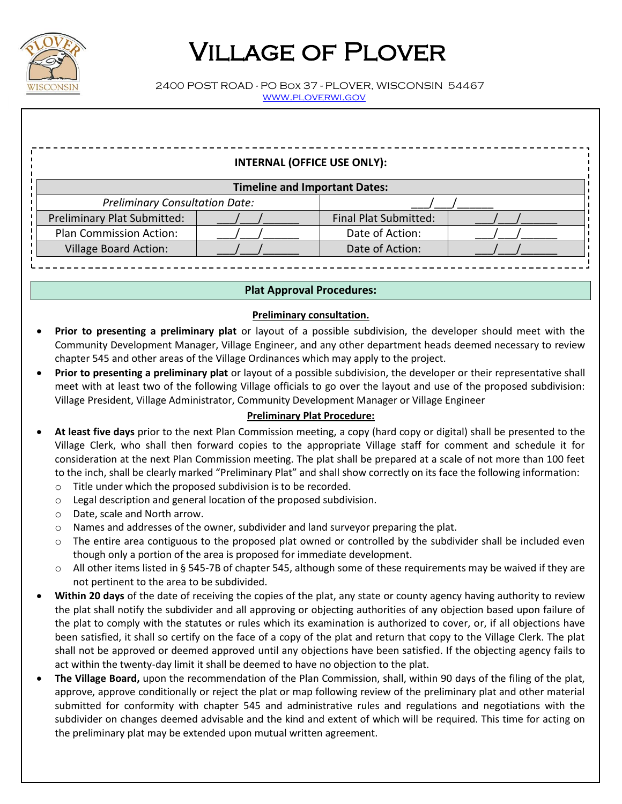

# Village of Plover

 2400 POST ROAD - PO Box 37 - PLOVER, WISCONSIN 54467 [www.ploverwi.gov](http://www.ploverwi.gov/)

### **INTERNAL (OFFICE USE ONLY):**

| Timeline and Important Dates:         |  |                              |  |  |  |  |
|---------------------------------------|--|------------------------------|--|--|--|--|
| <b>Preliminary Consultation Date:</b> |  |                              |  |  |  |  |
| Preliminary Plat Submitted:           |  | <b>Final Plat Submitted:</b> |  |  |  |  |
| <b>Plan Commission Action:</b>        |  | Date of Action:              |  |  |  |  |
| <b>Village Board Action:</b>          |  | Date of Action:              |  |  |  |  |
|                                       |  |                              |  |  |  |  |

#### **Plat Approval Procedures:**

#### **Preliminary consultation.**

- **Prior to presenting a preliminary plat** or layout of a possible subdivision, the developer should meet with the Community Development Manager, Village Engineer, and any other department heads deemed necessary to review chapter 545 and other areas of the Village Ordinances which may apply to the project.
- **Prior to presenting a preliminary plat** or layout of a possible subdivision, the developer or their representative shall meet with at least two of the following Village officials to go over the layout and use of the proposed subdivision: Village President, Village Administrator, Community Development Manager or Village Engineer

#### **Preliminary Plat Procedure:**

- **At least five days** prior to the next Plan Commission meeting, a copy (hard copy or digital) shall be presented to the Village Clerk, who shall then forward copies to the appropriate Village staff for comment and schedule it for consideration at the next Plan Commission meeting. The plat shall be prepared at a scale of not more than 100 feet to the inch, shall be clearly marked "Preliminary Plat" and shall show correctly on its face the following information:
	- o Title under which the proposed subdivision is to be recorded.
	- o Legal description and general location of the proposed subdivision.
	- o Date, scale and North arrow.
	- $\circ$  Names and addresses of the owner, subdivider and land surveyor preparing the plat.
	- $\circ$  The entire area contiguous to the proposed plat owned or controlled by the subdivider shall be included even though only a portion of the area is proposed for immediate development.
	- o All other items listed in § 545-7B of chapter 545, although some of these requirements may be waived if they are not pertinent to the area to be subdivided.
- **Within 20 days** of the date of receiving the copies of the plat, any state or county agency having authority to review the plat shall notify the subdivider and all approving or objecting authorities of any objection based upon failure of the plat to comply with the statutes or rules which its examination is authorized to cover, or, if all objections have been satisfied, it shall so certify on the face of a copy of the plat and return that copy to the Village Clerk. The plat shall not be approved or deemed approved until any objections have been satisfied. If the objecting agency fails to act within the twenty-day limit it shall be deemed to have no objection to the plat.
- **The Village Board,** upon the recommendation of the Plan Commission, shall, within 90 days of the filing of the plat, approve, approve conditionally or reject the plat or map following review of the preliminary plat and other material submitted for conformity with chapter 545 and administrative rules and regulations and negotiations with the subdivider on changes deemed advisable and the kind and extent of which will be required. This time for acting on the preliminary plat may be extended upon mutual written agreement.